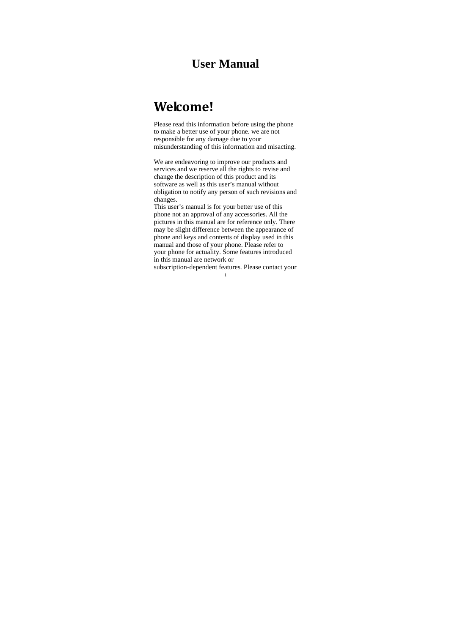# **User Manual**

# **Welcome!**

Please read this information before using the phone to make a better use of your phone. we are not responsible for any damage due to your misunderstanding of this information and misacting.

We are endeavoring to improve our products and services and we reserve all the rights to revise and change the description of this product and its software as well as this user's manual without obligation to notify any person of such revisions and changes.

This user's manual is for your better use of this phone not an approval of any accessories. All the pictures in this manual are for reference only. There may be slight difference between the appearance of phone and keys and contents of display used in this manual and those of your phone. Please refer to your phone for actuality. Some features introduced in this manual are network or

1 subscription-dependent features. Please contact your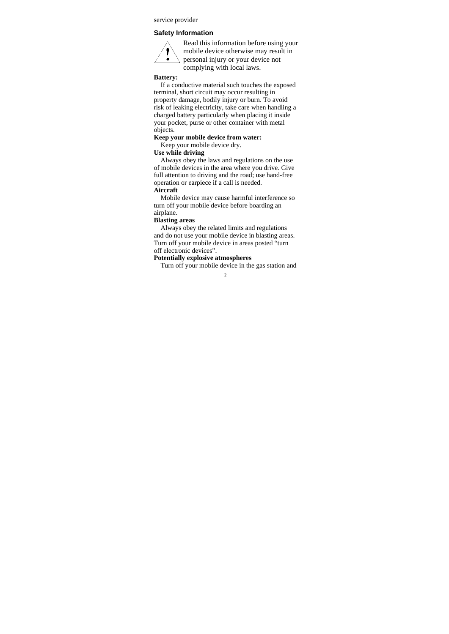service provider

# **Safety Information**



Read this information before using your mobile device otherwise may result in personal injury or your device not complying with local laws.

# **Battery:**

If a conductive material such touches the exposed terminal, short circuit may occur resulting in property damage, bodily injury or burn. To avoid risk of leaking electricity, take care when handling a charged battery particularly when placing it inside your pocket, purse or other container with metal objects.

# **Keep your mobile device from water:**

Keep your mobile device dry.

# **Use while driving**

Always obey the laws and regulations on the use of mobile devices in the area where you drive. Give full attention to driving and the road; use hand-free operation or earpiece if a call is needed. **Aircraft** 

Mobile device may cause harmful interference so turn off your mobile device before boarding an airplane.

# **Blasting areas**

Always obey the related limits and regulations and do not use your mobile device in blasting areas. Turn off your mobile device in areas posted "turn off electronic devices".

# **Potentially explosive atmospheres**

Turn off your mobile device in the gas station and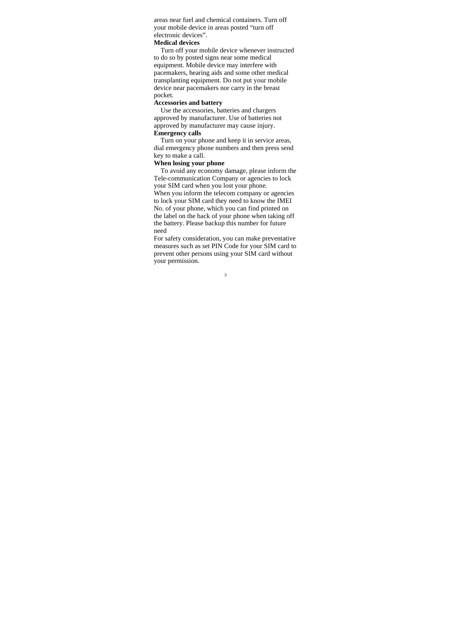areas near fuel and chemical containers. Turn off your mobile device in areas posted "turn off electronic devices".

# **Medical devices**

Turn off your mobile device whenever instructed to do so by posted signs near some medical equipment. Mobile device may interfere with pacemakers, hearing aids and some other medical transplanting equipment. Do not put your mobile device near pacemakers nor carry in the breast pocket.

# **Accessories and battery**

Use the accessories, batteries and chargers approved by manufacturer. Use of batteries not approved by manufacturer may cause injury. **Emergency calls** 

Turn on your phone and keep it in service areas, dial emergency phone numbers and then press send key to make a call.

# **When losing your phone**

To avoid any economy damage, please inform the Tele-communication Company or agencies to lock your SIM card when you lost your phone. When you inform the telecom company or agencies to lock your SIM card they need to know the IMEI No. of your phone, which you can find printed on the label on the back of your phone when taking off the battery. Please backup this number for future need

For safety consideration, you can make preventative measures such as set PIN Code for your SIM card to prevent other persons using your SIM card without your permission.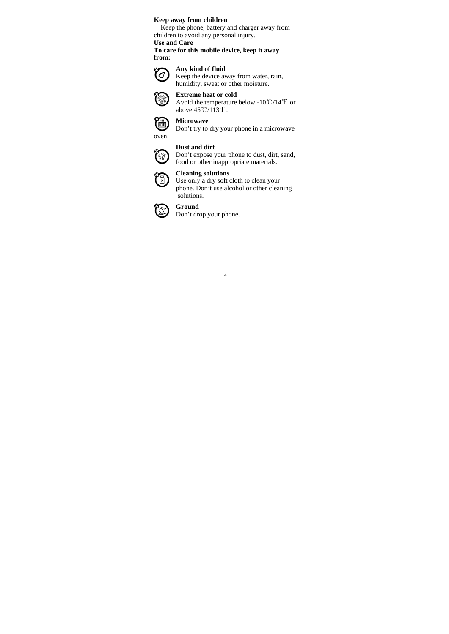# **Keep away from children**

Keep the phone, battery and charger away from children to avoid any personal injury.

**Use and Care** 

**To care for this mobile device, keep it away from:** 

#### **Any kind of fluid**  (O

Keep the device away from water, rain, humidity, sweat or other moisture.



oven.

2000

**Extreme heat or cold**  Avoid the temperature below -10  $\mathrm{C}/14 \mathrm{F}$  or above  $45^{\circ}$ C/113 $^{\circ}$ F.



Don't try to dry your phone in a microwave

# **Dust and dirt**

Don't expose your phone to dust, dirt, sand, food or other inappropriate materials.

#### **Cleaning solutions**  মি )

Use only a dry soft cloth to clean your phone. Don't use alcohol or other cleaning solutions.

4



**Ground** 

Don't drop your phone.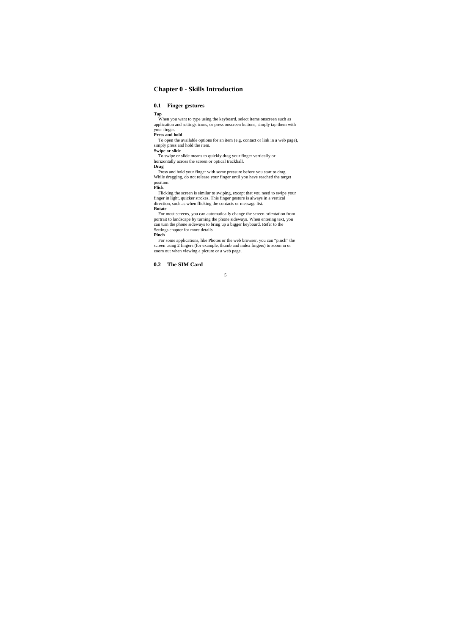# **Chapter 0 - Skills Introduction**

# **0.1 Finger gestures**

**Tap** When you want to type using the keyboard, select items onscreen such as application and settings icons, or press onscreen buttons, simply tap them with your finger.

**Press and hold**<br>
To open the available options for an item (e.g. contact or link in a web page),<br> **Swipe or slide**<br> **Swipe or slide** 

To swipe or slide means to quickly drag your finger vertically or horizontally across the screen or optical trackball.

**Drag**

Press and hold your finger with some pressure before you start to drag. While dragging, do not release your finger until you have reached the target position. **Flick**

Flicking the screen is similar to swiping, except that you need to swipe your finger in light, quicker strokes. This finger gesture is always in a vertical direction, such as when flicking the contacts or message list.

# **Rotate**

For most screens, you can automatically change the screen orientation from<br>portrait to landscape by turning the phone sideways. When entering text, you<br>can turn the phone sideways to bring up a bigger keyboard. Refer to th

For some applications, like Photos or the web browser, you can "pinch" the screen using 2 fingers (for example, thumb and index fingers) to zoom in or zoom in or a web page.

**0.2 The SIM Card**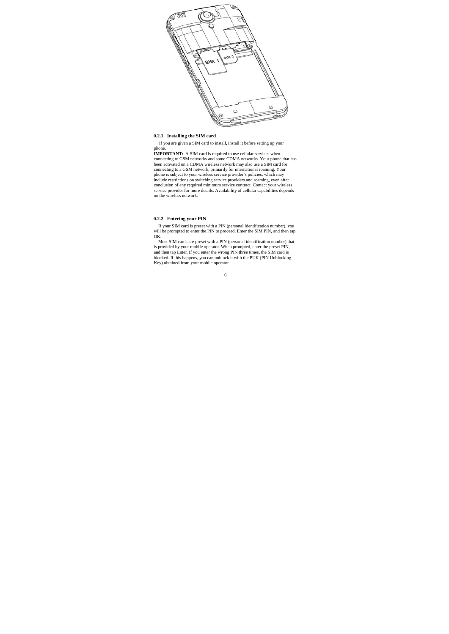

# **0.2.1 Installing the SIM card**

If you are given a SIM card to install, install it before setting up your

phone.<br>**IMPORTANT:** A SIM card is required to use cellular services when<br>connecting to GSM networks and some CDMA networks. Your phone that has been activated on a CDMA wireless network may also use a SIM card for<br>comecting to a GSM network, primarily for international roaming. Your<br>phone is subject to your wireless service provider's policies, which may<br>include r on the wireless network.

# **0.2.2 Entering your PIN**

If your SIM card is preset with a PIN (personal identification number), you will be prompted to enter the PIN to proceed. Enter the SIM PIN, and then tap

OK.<br>Most SIM cards are preset with a PIN (personal identification number) that<br>is provided by your mobile operator. When prompted, enter the preset PIN,<br>and then tap Enter. If you enter the wrong PIN three times, the SIM c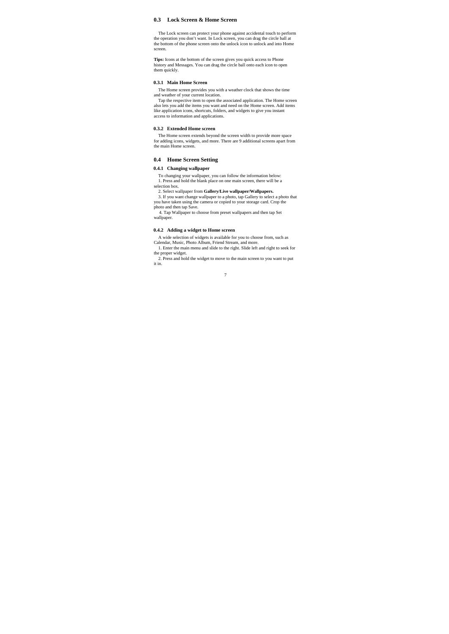### **0.3 Lock Screen & Home Screen**

The Lock screen can protect your phone against accidental touch to perform<br>the operation you don't want. In Lock screen, you can drag the circle ball at<br>the bottom of the phone screen onto the unlock icon to unlock and int screen.

Tips: Icons at the bottom of the screen gives you quick access to Phone history and Messages. You can drag the circle ball onto each icon to open them quickly.

#### **0.3.1 Main Home Screen**

The Home screen provides you with a weather clock that shows the time and weather of your current location.

Tap the respective item to open the associated application. The Home screen<br>also lets you add the items you want and need on the Home screen. Add items<br>like application icons, shortcuts, folders, and widgets to give you in

#### **0.3.2 Extended Home screen**

The Home screen extends beyond the screen width to provide more space for adding icons, widgets, and more. There are 9 additional screens apart from the main Home screen.

#### **0.4 Home Screen Setting**

# **0.4.1 Changing wallpaper**

To changing your wallpaper, you can follow the information below: 1. Press and hold the blank place on one main screen, there will be a selection box.

2. Select wallpaper from **Gallery/Live wallpaper/Wallpapers.**  3. If you want change wallpaper to a photo, tap Gallery to select a photo that you have taken using the camera or copied to your storage card. Crop the photo and then tap Save.

4. Tap Wallpaper to choose from preset wallpapers and then tap Set wallpaper.

#### **0.4.2 Adding a widget to Home screen**

A wide selection of widgets is available for you to choose from, such as Calendar, Music, Photo Album, Friend Stream, and more. 1. Enter the main menu and slide to the right. Slide left and right to seek for

the proper widget.

2. Press and hold the widget to move to the main screen to you want to put it in.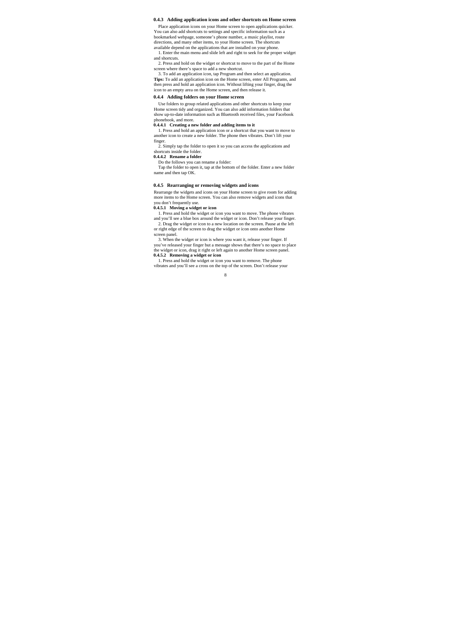#### **0.4.3 Adding application icons and other shortcuts on Home screen**

Place application icons on your Home screen to open applications quicker. You can also add shortcuts to settings and specific information such as a bookmarked webpage, someone's phone number, a music playlist, route directions, and many other items, to your Home screen. The shortcuts

available depend on the applications that are installed on your phone. 1. Enter the main menu and slide left and right to seek for the proper widget and shortcuts.

2. Press and hold on the widget or shortcut to move to the part of the Home screen where there's space to add a new shortcut. 3. To add an application icon, tap Program and then select an application.

**Tips:** To add an application icon on the Home screen, enter All Programs, and then press and hold an application icon. Without lifting your finger, drag the icon to an empty area on the Home screen, and then release it.

#### **0.4.4 Adding folders on your Home screen**

Use folders to group related applications and other shortcuts to keep your Home screen tidy and organized. You can also add information folders that show up-to-date information such as Bluetooth received files, your Facebook phonebook, and more.

**0.4.4.1 Creating a new folder and adding items to it** 

1. Press and hold an application icon or a shortcut that you want to move to another icon to create a new folder. The phone then vibrates. Don't lift your finger.

2. Simply tap the folder to open it so you can access the applications and shortcuts inside the folder.

**0.4.4.2 Rename a folder** 

Do the follows you can rename a folder: Tap the folder to open it, tap at the bottom of the folder. Enter a new folder name and then tap OK.

#### **0.4.5 Rearranging or removing widgets and icons**

Rearrange the widgets and icons on your Home screen to give room for adding more items to the Home screen. You can also remove widgets and icons that you don't frequently use.

**0.4.5.1 Moving a widget or icon** 

1. Press and hold the widget or icon you want to move. The phone vibrates and you'll see a blue box around the widget or icon. Don't release your finger.<br>2. Drag the widget or icon to a new location on the screen. Pause at

or right edge of the screen to drag the widget or icon onto another Home

screen panel. 3. When the widget or icon is where you want it, release your finger. If you've released your finger but a message shows that there's no space to place the widget or icon, drag it right or left again to another Home screen panel. **0.4.5.2 Removing a widget or icon** 

1. Press and hold the widget or icon you want to remove. The phone vibrates and you'll see a cross on the top of the screen. Don't release your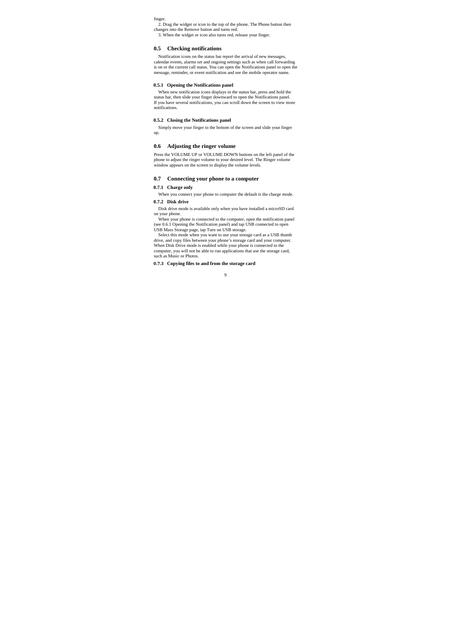finger.

2. Drag the widget or icon to the top of the phone. The Phone button then changes into the Remove button and turns red. 3. When the widget or icon also turns red, release your finger.

**0.5 Checking notifications** 

Notification icons on the status bar report the arrival of new messages, calendar events, alarms set and ongoing settings such as when call forwarding is on or the current call status. You can open the Notifications panel to open the message, reminder, or event notification and see the mobile operator name.

#### **0.5.1 Opening the Notifications panel**

When new notification icons displays in the status bar, press and hold the<br>status bar, then slide your finger downward to open the Notifications panel.<br>If you have several notifications, you can scroll down the screen to v notifications.

#### **0.5.2 Closing the Notifications panel**

Simply move your finger to the bottom of the screen and slide your finger up.

#### **0.6 Adjusting the ringer volume**

Press the VOLUME UP or VOLUME DOWN buttons on the left panel of the phone to adjust the ringer volume to your desired level. The Ringer volume window appears on the screen to display the volume levels.

#### **0.7 Connecting your phone to a computer**

**0.7.1 Charge only** 

When you connect your phone to computer the default is the charge mode. **0.7.2 Disk drive** 

Disk drive mode is available only when you have installed a microSD card on your phone.

When your phone is connected to the computer, open the notification panel (see 0.6.1 Opening the Notification panel) and tap USB connected to open USB Mass Storage page, tap Turn on USB storage. Select this mode when you want to use your storage card as a USB thumb

drive, and copy files between your phone's storage card and your computer. When Disk Drive mode is enabled while your phone is connected to the computer, you will not be able to run applications that use the storage card, such as Music or Photos.

**0.7.3 Copying files to and from the storage card**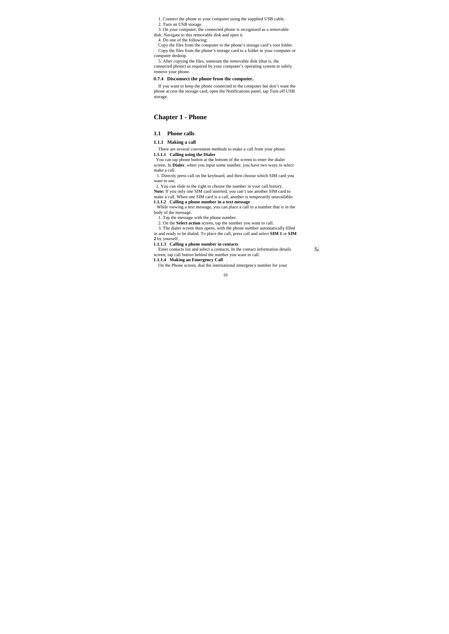1. Connect the phone to your computer using the supplied USB cable.

2. Turn on USB storage. 3. On your computer, the connected phone is recognized as a removable

disk. Navigate to this removable disk and open it. 4. Do one of the following:

Copy the files from the computer to the phone's storage card's root folder. Copy the files from the phone's storage card to a folder in your computer or

computer desktop. 5. After copying the files, unmount the removable disk (that is, the

connected phone) as required by your computer's operating system to safely remove your phone.

# **0.7.4 Disconnect the phone from the computer.**

If you want to keep the phone connected to the computer but don't want the phone access the storage card, open the Notifications panel, tap Turn off USB storage.

### **Chapter 1 - Phone**

### **1.1 Phone calls**

**1.1.1 Making a call** 

There are several convenient methods to make a call from your phone. **1.1.1.1 Calling using the Dialer** 

You can tap phone button at the bottom of the screen to enter the dialer screen. In **Dialer**, when you input some number, you have two ways to select make a call.

1. Directly press call on the keyboard, and then choose which SIM card you want to use.

2. You can slide to the right to choose the number in your call history.

**Note:** If you only one SIM card inserted, you can't use another SIM card to make a call. When one SIM card is a call, another is temporarily unavailable.

**1.1.1.2 Calling a phone number in a text message**<br>While viewing a text message, you can place a call to a number that is in the body of the message.

1. Tap the message with the phone number.

2. On the **Select action** screen, tap the number you want to call. 3. The dialer screen then opens, with the phone number automatically filled

in and ready to be dialed. To place the call, press call and select **SIM 1** or **SIM 2** by yourself. **1.1.1.3 Calling a phone number in contacts** 

Enter contacts list and select a contacts. In the contact information details screen, tap call button behind the number you want to call. **1.1.1.4 Making an Emergency Call** 

 $\mathbf{t}$ 

On the Phone screen, dial the international emergency number for your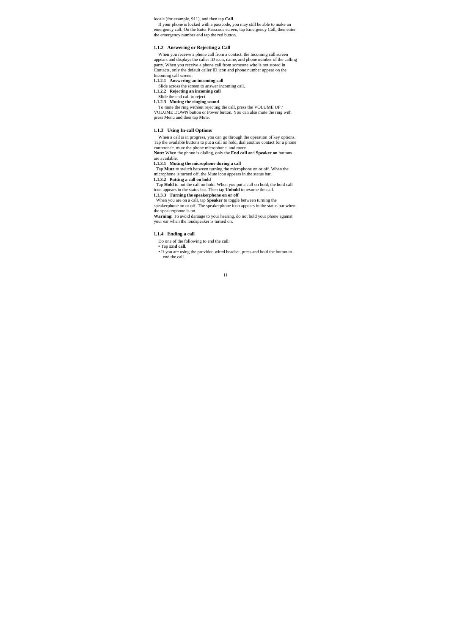locale (for example, 911), and then tap **Call**.

If your phone is locked with a passcode, you may still be able to make an emergency call: On the Enter Passcode screen, tap Emergency Call, then enter the emergency number and tap the red button.

#### **1.1.2 Answering or Rejecting a Call**

When you receive a phone call from a contact, the Incoming call screen appears and displays the caller ID icon, name, and phone number of the calling party. When you receive a phone call from someone who is not stored in Contacts, only the default caller ID icon and phone number appear on the

# Incoming call screen. **1.1.2.1 Answering an incoming call**

Slide across the screen to answer incoming call. **1.1.2.2 Rejecting an incoming call** 

Slide the end call to reject.<br> **1.1.2.3 Muting the ringing sound**<br>
To mute the ring without rejecting the call, press the VOLUME UP /<br>
VOLUME DOWN button or Power button. You can also mute the ring with press Menu and then tap Mute.

#### **1.1.3 Using In-call Options**

When a call is in progress, you can go through the operation of key options. Tap the available buttons to put a call on hold, dial another contact for a phone conference, mute the phone microphone, and more.

**Note:** When the phone is dialing, only the **End call** and **Speaker on** buttons

# are available. **1.1.3.1 Muting the microphone during a call**

Tap **Mute** to switch between turning the microphone on or off. When the microphone is turned off, the Mute icon appears in the status bar. **1.1.3.2 Putting a call on hold** 

Tap Hold to put the call on hold. When you put a call on hold, the hold call<br>icon appears in the status bar. Then tap **Unhold** to resume the call.<br>1.1.3.3 Turning the speakerphone on or off<br>When you are on a call, tap Spe

speakerphone on or off. The speakerphone icon appears in the status bar when

the speakerphone is on.<br>**Warning!** To avoid damage to your hearing, do not hold your phone against<br>your ear when the loudspeaker is turned on.

# **1.1.4 Ending a call**

Do one of the following to end the call:

**•** Tap **End call**.

**•** If you are using the provided wired headset, press and hold the button to end the call.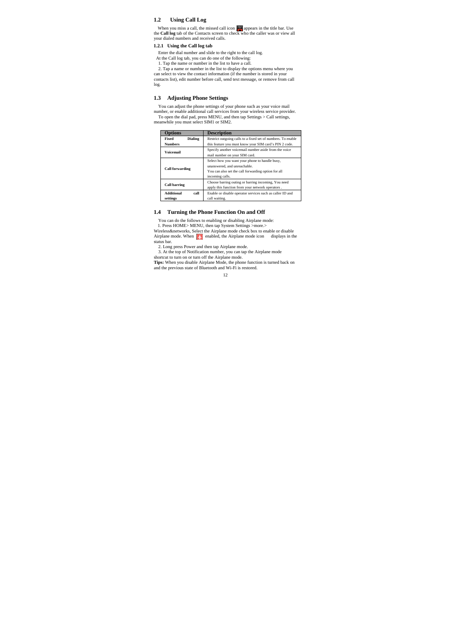# **1.2 Using Call Log**

When you miss a call, the missed call icon **a** appears in the title bar. Use the **Call log** tab of the Contacts screen to check who the caller was or view all your dialed numbers and received calls.

# **1.2.1 Using the Call log tab**

Enter the dial number and slide to the right to the call log.

At the Call log tab, you can do one of the following:<br>
1. Tap the name or number in the list to have a call.<br>
2. Tap a name or number in the list to have a call.<br>
2. Tap a name or number in the list to display the options contacts list), edit number before call, send text message, or remove from call log.

# **1.3 Adjusting Phone Settings**

You can adjust the phone settings of your phone such as your voice mail number, or enable additional call services from your wireless service provider.<br>To open the dial pad, press MENU, and then tap Settings > Call settings,<br>meanwhile you must select SIM1 or SIM2.

| <b>Options</b>                            | <b>Description</b>                                                                                                                                       |
|-------------------------------------------|----------------------------------------------------------------------------------------------------------------------------------------------------------|
| <b>Dialing</b><br>Fixed<br><b>Numbers</b> | Restrict outgoing calls to a fixed set of numbers. To enable<br>this feature you must know your SIM card's PIN 2 code.                                   |
| <b>Voicemail</b>                          | Specify another voicemail number aside from the voice<br>mail number on your SIM card.                                                                   |
| <b>Call forwarding</b>                    | Select how you want your phone to handle busy,<br>unanswered, and unreachable.<br>You can also set the call forwarding option for all<br>incoming calls. |
| <b>Call barring</b>                       | Choose barring outing or barring incoming, You need<br>apply this function from your network operators.                                                  |
| Additional<br>call<br>settings            | Enable or disable operator services such as caller ID and<br>call waiting.                                                                               |

# **1.4 Turning the Phone Function On and Off**

You can do the follows to enabling or disabling Airplane mode: 1. Press HOME> MENU, then tap System Settings >more.><br>Wireless&networks, Select the Airplane mode check box to enable or disable<br>Airplane mode. When **FS** enabled, the Airplane mode icon displays in the

status bar.

2. Long press Power and then tap Airplane mode. 3. At the top of Notification number, you can tap the Airplane mode

shortcut to turn on or turn off the Airplane mode.<br>**Tips:** When you disable Airplane Mode, the phone function is turned back on<br>and the previous state of Bluetooth and Wi-Fi is restored.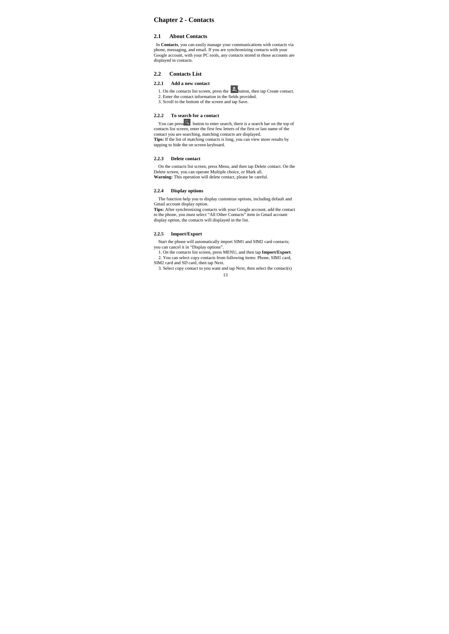# **Chapter 2 - Contacts**

# **2.1 About Contacts**

In **Contacts**, you can easily manage your communications with contacts via<br>phone, messaging, and email. If you are synchronizing contacts with your<br>Google account, with your PC tools, any contacts stored in those accounts displayed in contacts.

## **2.2 Contacts List**

### **2.2.1 Add a new contact**

1. On the contacts list screen, press the  $\frac{1}{2}$  button, then tap Create contact. 2. Enter the contact information in the fields provided. 3. Scroll to the bottom of the screen and tap Save.

### **2.2.2 To search for a contact**

You can press<br>  $\blacksquare$  button to enter search, there is a search bar on the top of<br>
contact sits screen, enter the first few letters of the first or last name of the<br>
contact you are esarching, matching contacts are displa tapping to hide the on screen keyboard.

### **2.2.3 Delete contact**

On the contacts list screen, press Menu, and then tap Delete contact. On the Delete screen, you can operate Multiple choice, or Mark all.<br>Warning: This operation will delete contact, please be careful.

# **2.2.4 Display options**

The function help you to display customize options, including default and

Gmail account display option.<br>Tips: After synchronizing contacts with your Google account, add the contact<br>to the phone, you must select "All Other Contacts" item in Gmail account<br>display option, the contacts will displaye

#### **2.2.5 Import/Export**

Start the phone will automatically import SIM1 and SIM2 card contacts;

you can cancel it in "Display options". 1. On the contacts list screen, press MENU, and then tap **Import/Export**. 2. You can select copy contacts from following items: Phone, SIM1 card,

13 SIM2 card and SD card, then tap Next. 3. Select copy contact to you want and tap Next, then select the contact(s)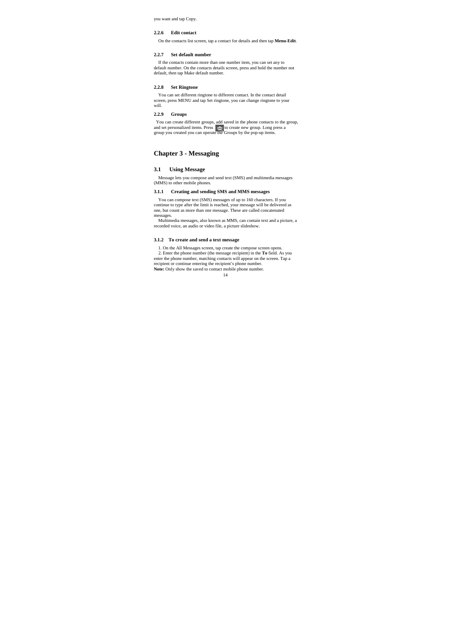you want and tap Copy.

### **2.2.6 Edit contact**

On the contacts list screen, tap a contact for details and then tap **Menu-Edit**.

#### **2.2.7 Set default number**

If the contacts contain more than one number item, you can set any to default number. On the contacts details screen, press and hold the number not default, then tap Make default number.

#### **2.2.8 Set Ringtone**

You can set different ringtone to different contact. In the contact detail screen, press MENU and tap Set ringtone, you can change ringtone to your will.

# **2.2.9 Groups**

You can create different groups, add saved in the phone contacts to the group, and set personalized items. Press  $\stackrel{4}{\leq}$  to create new group. Long press a group you created you can operate the Groups by the pop-up ite

# **Chapter 3 - Messaging**

# **3.1 Using Message**

Message lets you compose and send text (SMS) and multimedia messages (MMS) to other mobile phones.

#### **3.1.1 Creating and sending SMS and MMS messages**

You can compose text (SMS) messages of up to 160 characters. If you<br>continue to type after the limit is reached, your message will be delivered as<br>one, but count as more than one message. These are called concatenated

messages. Multimedia messages, also known as MMS, can contain text and a picture, a recorded voice, an audio or video file, a picture slideshow.

# **3.1.2 To create and send a text message**

1. On the All Messages screen, tap create the compose screen opens.<br>2. Enter the phone number (the message recipient) in the **To** field. As you<br>enter the phone number, matching contacts will appear on the screen. Tap a<br>rec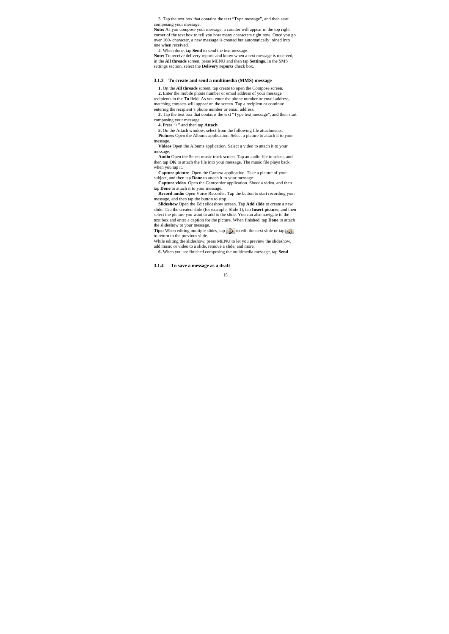3. Tap the text box that contains the text "Type message", and then start

composing your message.<br>**Note:** As you compose your message, a counter will appear in the top right<br>corner of the text box to tell you how many characters right now. Once you go over 160- character, a new message is created but automatically joined into one when received.

4. When done, tap **Send** to send the text message.

**Note:** To receive delivery reports and know when a text message is received, in the All threads screen, press MENU and then tap **Settings**. In the SMS settings section, select the **Delivery reports** check box.

#### **3.1.3 To create and send a multimedia (MMS) message**

**1.** On the **All threads** screen, tap create to open the Compose screen. **2.** Enter the mobile phone number or email address of your message

recipients in the **To** field. As you enter the phone number or email address, matching contacts will appear on the screen. Tap a recipient or continue entering the recipient's phone number or email address.

**3.** Tap the text box that contains the text "Type text message", and then start composing your message. **4.** Press "+" and then tap **Attach**.

**5.** On the Attach window, select from the following file attachments: **Pictures** Open the Albums application. Select a picture to attach it to your message.

**Videos** Open the Albums application. Select a video to attach it to your

message. **Audio** Open the Select music track screen. Tap an audio file to select, and then tap **OK** to attach the file into your message. The music file plays back when you tap it.

**Capture picture**. Open the Camera application. Take a picture of your subject, and then tap **Done** to attach it to your message.

**Capture video**. Open the Camcorder application. Shoot a video, and then tap **Done** to attach it to your message.

**Record audio** Open Voice Recorder. Tap the button to start recording your message, and then tap the button to stop.

**Slideshow** Open the Edit slideshow screen. Tap **Add slide** to create a new slide. Tap the created slide (for example, Slide 1), tap **Insert picture**, and then select the picture you want to add to the slide. You can also text box and enter a caption for the picture. When finished, tap **Done** to attach

the slideshow to your message.<br> **Tips:** When editing multiple slides, tap **the slight of the next slide or tap** 

to return to the previous slide.<br>While editing the slideshow, press MENU to let you preview the slideshow,<br>add music or video to a slide, remove a slide, and more.<br>6. When you are finished composing the multimedia message

**3.1.4 To save a message as a draft**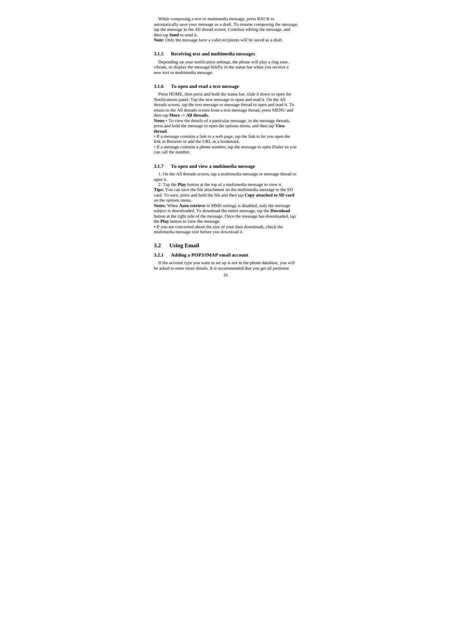While composing a text or multimedia message, press BACK to automatically save your message as a draft. To resume composing the message, tap the message in the All thread screen. Continue editing the message, and then tap **Send** to send it. **Note:** Only the message have a valid recipients will be saved as a draft.

#### **3.1.5 Receiving text and multimedia messages**

Depending on your notification settings, the phone will play a ring tone, vibrate, or display the message briefly in the status bar when you receive a new text or multimedia message.

# **3.1.6 To open and read a text message**

Press HOME, then press and hold the status bar, slide it down to open the Notifications panel. Tap the new message to open and read it. On the All threads screen, tap the text message or message thread to open and read it. To return to the All threads screen from a text message thread, press MENU and then tap **More -> All threads. Notes** • To view the details of a particular message, in the message threads,

press and hold the message to open the options menu, and then tap **View thread**.

• If a message contains a link to a web page, tap the link to let you open the link in Browser or add the URL as a bookmark.

• If a message contains a phone number, tap the message to open Dialer so you can call the number.

#### **3.1.7 To open and view a multimedia message**

1. On the All threads screen, tap a multimedia message or message thread to open it.

2. Tap the **Play** button at the top of a multimedia message to view it. **Tips:** You can save the file attachment on the multimedia message to the SD card. To save, press and hold the file and then tap **Copy attached to SD card** on the options menu. **Notes:** When **Auto-retrieve** in MMS settings is disabled, only the message

subject is downloaded. To download the entire message, tap the **Download** button at the right side of the message. Once the message has downloaded, tap the **Play** button to view the message.

**•** If you are concerned about the size of your data downloads, check the multimedia message size before you download it.

#### **3.2 Using Email**

**3.2.1 Adding a POP3/IMAP email account** 

If the account type you want to set up is not in the phone database, you will be asked to enter more details. It is recommended that you get all pertinent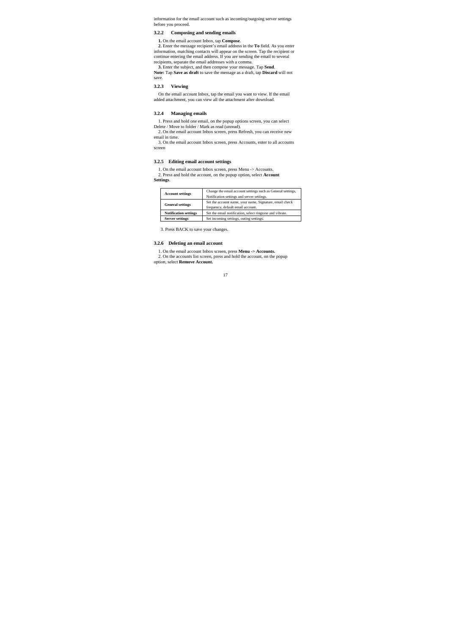information for the email account such as incoming/outgoing server settings before you proceed.

# **3.2.2 Composing and sending emails**

**1.** On the email account Inbox, tap **Compose.**<br> **2.** Enter the message recipient's email address in the **To** field. As you enter normation, matching contacts will appear on the screen. Tap the recipient or continue enteri

**3.** Enter the subject, and then compose your message. Tap **Send**. **Note:** Tap **Save as draft** to save the message as a draft, tap **Discard** will not save.

# **3.2.3 Viewing**

On the email account Inbox, tap the email you want to view. If the email added attachment, you can view all the attachment after download.

#### **3.2.4 Managing emails**

1. Press and hold one email, on the popup options screen, you can select Delete / Move to folder / Mark as read (unread).<br>2. On the email account Inbox screen, press Refresh, you can receive new

email in time.

3. On the email account Inbox screen, press Accounts, enter to all accounts screen

#### **3.2.5 Editing email account settings**

1. On the email account Inbox screen, press Menu -> Accounts. 2. Press and hold the account, on the popup option, select **Account** 

**Settings**.

| <b>Account settings</b>      | Change the email account settings such as General settings,<br>Notification settings and server settings. |
|------------------------------|-----------------------------------------------------------------------------------------------------------|
| <b>General settings</b>      | Set the account name, your name, Signature, email check<br>frequency, default email account.              |
| <b>Notification settings</b> | Set the email notification, select ringtone and vibrate.                                                  |
| <b>Server settings</b>       | Set incoming settings, outing settings.                                                                   |

3. Press BACK to save your changes.

# **3.2.6 Deleting an email account**

1. On the email account Inbox screen, press **Menu -> Accounts.**  2. On the accounts list screen, press and hold the account, on the popup option, select **Remove Account.**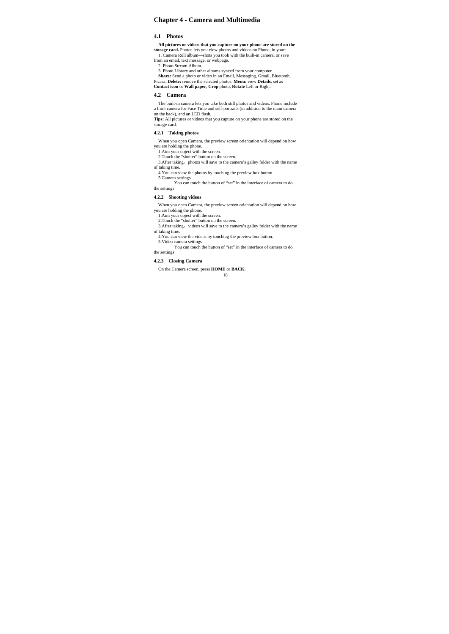# **Chapter 4 - Camera and Multimedia**

# **4.1 Photos**

All pictures or videos that you capture on your phone are stored on the storage card. Photos lets you view photos and videos on Phone, in your:<br> $Caplace = Caplace = Caplace$  Roll album—shots you took with the built-in camera, or save

from an email, text message, or webpage. 2. Photo Stream Album.

3. Photo Library and other albums synced from your computer.<br> **Share:** Send a photo or video in an Email, Messaging, Gmail, Bluetooth,<br>
Picasa. **Delete:** remove the selected photos. **Menu:** view **Details**, set as<br> **Contact** 

# **4.2 Camera**

The built-in camera lets you take both still photos and videos. Phone include a front camera for Face Time and self-portraits (in addition to the main camera on the back), and an LED flash.

**Tips:** All pictures or videos that you capture on your phone are stored on the storage card.

#### **4.2.1 Taking photos**

When you open Camera, the preview screen orientation will depend on how you are holding the phone.

1.Aim your object with the screen. 2.Touch the "shutter" button on the screen.

3.After taking, photos will save to the camera's galley folder with the name of taking time.

4.You can view the photos by touching the preview box button.

5.Camera settings

 You can touch the button of "set" in the interface of camera to do the settings

#### **4.2.2 Shooting videos**

When you open Camera, the preview screen orientation will depend on how you are holding the phone.

1. Aim your object with the screen.

2.Touch the "shutter" button on the screen.

3. After taking, videos will save to the camera's galley folder with the name of taking time.

- 
- 4.You can view the videos by touching the preview box button. 5.Video camera settings You can touch the button of "set" in the interface of camera to do the settings

# **4.2.3 Closing Camera**

On the Camera screen, press **HOME** or **BACK**.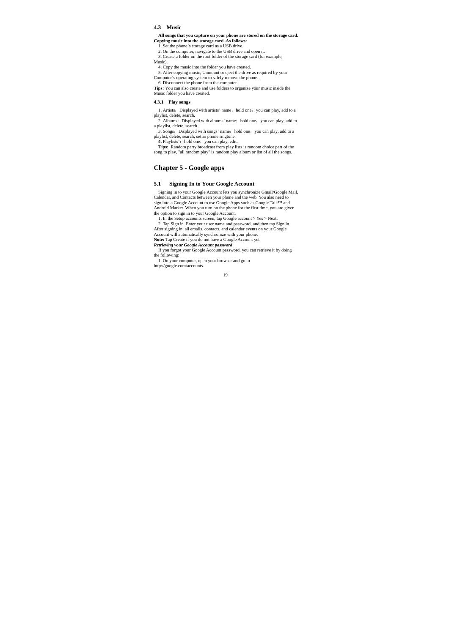#### **4.3 Music**

**All songs that you capture on your phone are stored on the storage card. Copying music into the storage card .As follows:**

1. Set the phone's storage card as a USB drive.

2. On the computer, navigate to the USB drive and open it. 3. Create a folder on the root folder of the storage card (for example,

Music).

4. Copy the music into the folder you have created. 5. After copying music, Unmount or eject the drive as required by your Computer's operating system to safely remove the phone.

6. Disconnect the phone from the computer.

**Tips:** You can also create and use folders to organize your music inside the Music folder you have created.

### **4.3.1 Play songs**

1. Artists: Displayed with artists' name; hold one, you can play, add to a playlist, delete, search.<br>2. Albums: Displayed with albums' name; hold one, you can play, add to

a playlist, delete, search.<br>3. Songs: Displayed with songs' name; hold one, you can play, add to a

playlist, delete, search, set as phone ringtone.

**4.** Playlists': hold one, you can play, edit.<br>**Tips:** Random party broadcast from play lists is random choice part of the songs.<br>song to play, "all random play" is random play album or list of all the songs.

# **Chapter 5 - Google apps**

#### **5.1 Signing In to Your Google Account**

Signing in to your Google Account lets you synchronize Gmail/Google Mail, Calendar, and Contacts between your phone and the web. You also need to sign into a Google Account to use Google Apps such as Google Talk<sup>TM</sup> and Android Market. When you turn on the phone for the first time, you are give

1. In the Setup accounts screen, tap Google account > Yes > Next. 2. Tap Sign in. Enter your user name and password, and then tap Sign in.

After signing in, all emails, contacts, and calendar events on your Google Account will automatically synchronize with your phone.<br>Note: Tap Create if you do not have a Google Account yet.<br>**Netrieving your Google Account p** 

If you forgot your Google Account password, you can retrieve it by doing the following:

1. On your computer, open your browser and go to http://google.com/accounts.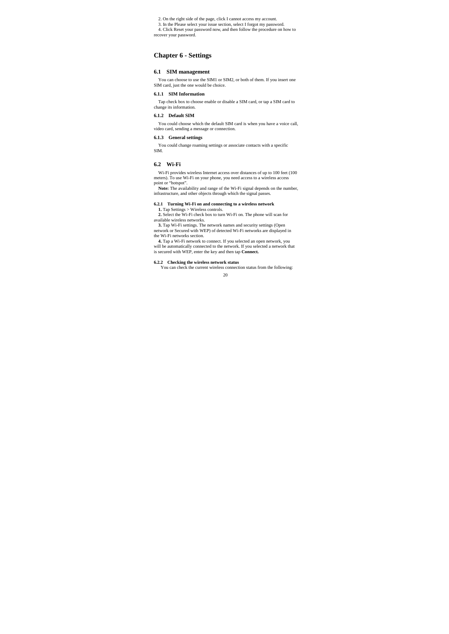2. On the right side of the page, click I cannot access my account.

3. In the Please select your issue section, select I forgot my password. 4. Click Reset your password now, and then follow the procedure on how to

recover your password.

# **Chapter 6 - Settings**

# **6.1 SIM management**

You can choose to use the SIM1 or SIM2, or both of them. If you insert one SIM card, just the one would be choice.

### **6.1.1 SIM Information**

Tap check box to choose enable or disable a SIM card, or tap a SIM card to change its information.

#### **6.1.2 Default SIM**

You could choose which the default SIM card is when you have a voice call, video card, sending a message or connection.

#### **6.1.3 General settings**

You could change roaming settings or associate contacts with a specific SIM.

#### **6.2 Wi-Fi**

Wi-Fi provides wireless Internet access over distances of up to 100 feet (100 meters). To use Wi-Fi on your phone, you need access to a wireless access

point or "hotspot".<br> **Note:** The availability and range of the Wi-Fi signal depends on the number, infrastructure, and other objects through which the signal passes.

**6.2.1 Turning Wi-Fi on and connecting to a wireless network <br><b>1.** Tap Settings > Wireless controls.<br>**2.** Select the Wi-Fi check box to turn Wi-Fi on. The phone will scan for available wireless networks.

**3.** Tap Wi-Fi settings. The network names and security settings (Open network or Secured with WEP) of detected Wi-Fi networks are displayed in

the Wi-Fi networks section. **4.** Tap a Wi-Fi network to connect. If you selected an open network, you will be automatically connected to the network. If you selected a network that is secured with WEP, enter the key and then tap **Connect.**

#### **6.2.2 Checking the wireless network status**

You can check the current wireless connection status from the following: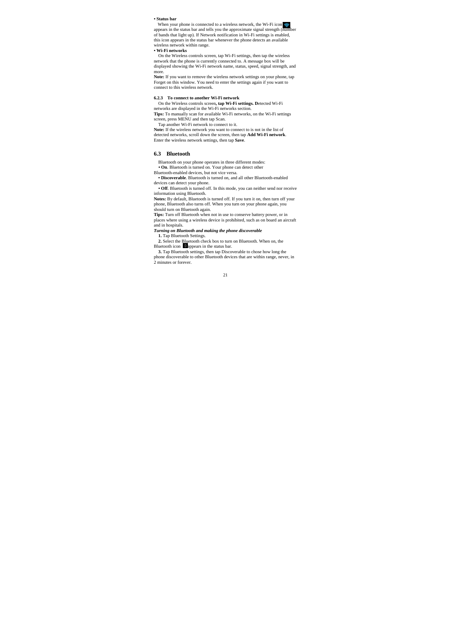### **• Status bar**

When your phone is connected to a wireless network, the Wi-Fi icon  $\blacktriangleright$  appears in the status bar and tells you the approximate signal strength (number of bands that light up). If Network notification in Wi-Fi settings this icon appears in the status bar whenever the phone detects an available wireless network within range.

#### **• Wi-Fi networks**

On the Wireless controls screen, tap Wi-Fi settings, then tap the wireless<br>network that the phone is currently connected to. A message box will be<br>displayed showing the Wi-Fi network name, status, speed, signal strength, a more.

**Note:** If you want to remove the wireless network settings on your phone, tap Forget on this window. You need to enter the settings again if you want to connect to this wireless network.

#### **6.2.3 To connect to another Wi-Fi network**

On the Wireless controls screen**, tap Wi-Fi settings. D**etected Wi-Fi networks are displayed in the Wi-Fi networks section.

**Tips:** To manually scan for available Wi-Fi networks, on the Wi-Fi settings

screen, press MENU and then tap Scan. Tap another Wi-Fi network to connect to it. **Note:** If the wireless network you want to connect to is not in the list of detected networks, scroll down the screen, then tap **Add Wi-Fi network**. Enter the wireless network settings, then tap **Save**.

#### **6.3 Bluetooth**

Bluetooth on your phone operates in three different modes: **• On**. Bluetooth is turned on. Your phone can detect other

Bluetooth-enabled devices, but not vice versa.

**• Discoverable**. Bluetooth is turned on, and all other Bluetooth-enabled

devices can detect your phone. **• Off**. Bluetooth is turned off. In this mode, you can neither send nor receive information using Bluetooth. **Notes:** By default, Bluetooth is turned off. If you turn it on, then turn off your

phone, Bluetooth also turns off. When you turn on your phone again, you should turn on Bluetooth again.

**Tips:** Turn off Bluetooth when not in use to conserve battery power, or in places where using a wireless device is prohibited, such as on board an aircraft

and in hospitals. *Turning on Bluetooth and making the phone discoverable* 

**1.** Tap Bluetooth Settings.<br> **2.** Select the Bluetooth check box to turn on Bluetooth. When on, the Bluetooth icon **El**appears in the status bar.<br> **3.** Tap Bluetooth settings, then tap Discoverable to chose how long the

phone discoverable to other Bluetooth devices that are within range, never, in 2 minutes or forever.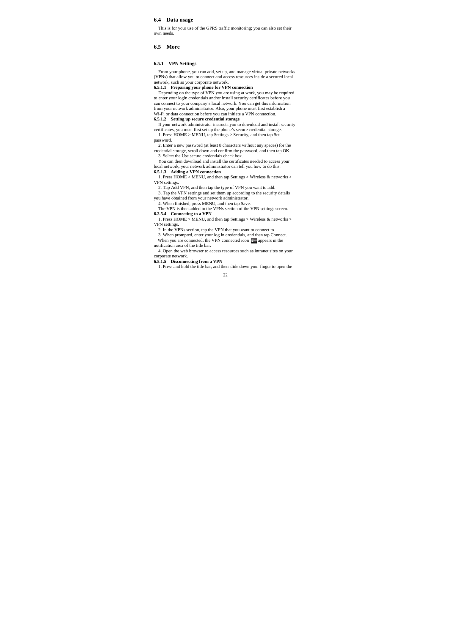#### **6.4 Data usage**

This is for your use of the GPRS traffic monitoring; you can also set their own needs.

#### **6.5 More**

### **6.5.1 VPN Settings**

From your phone, you can add, set up, and manage virtual private networks (VPNs) that allow you to connect and access resources inside a secured local network, such as your corporate network.

**6.5.1.1 Preparing your phone for VPN connection**<br>Depending on the type of VPN you are using at work, you may be required<br>to enter your login credentials and/or install security certificates before you can connect to your company's local network. You can get this information from your network administrator. Also, your phone must first establish a Wi-Fi or data connection before you can initiate a VPN connection.

**6.5.1.2 Setting up secure credential storage** If you to download and install security<br>If your network administrator instructs you to download and install security<br>certificates, you must first set up the phone's secure cre 1. Press HOME > MENU, tap Settings > Security, and then tap Set

password.

2. Enter a new password (at least 8 characters without any spaces) for the credential storage, scroll down and confirm the password, and then tap OK. 3. Select the Use secure credentials check box. You can then download and install the certificates needed to access your

local network, your network administrator can tell you how to do this. **6.5.1.3 Adding a VPN connection** 

1. Press HOME > MENU, and then tap Settings > Wireless & networks > VPN settings.

VPN settings.<br>
2. Tap Add VPN, and then tap the type of VPN you want to add.<br>
3. Tap the VPN settings and set them up according to the security details<br>
you have obtained from your network administrator.<br>
4. When finished,

The VPN is then added to the VPNs section of the VPN settings screen.<br> **6.2.5.4** Connecting to a VPN<br>
1. Press HOME > MENU, and then tap Settings > Wireless & networks >

VPN settings.<br>
2. In the VPNs section, tap the VPN that you want to connect to.<br>
3. When prompted, enter your log in credentials, and then tap Connect.<br>
When you are connected, the VPN connected icon  $\overline{\mathbb{Z}}$  appears i

notification area of the title bar.

4. Open the web browser to access resources such as intranet sites on your corporate network. **6.5.1.5 Disconnecting from a VPN**  1. Press and hold the title bar, and then slide down your finger to open the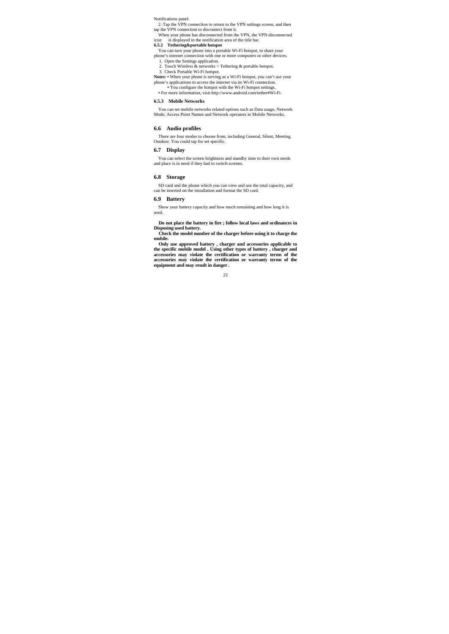Notifications panel.

2. Tap the VPN connection to return to the VPN settings screen, and then tap the VPN connection to disconnect from it. When your phone has disconnected from the VPN, the VPN disconnected

icon is displayed in the notification area of the title bar.<br> **6.5.2 Tethering &portable hotspot**<br>
You can turn your phone into a portable Wi-Fi hotspot, to share your<br>
phone's internet connection with one or more compute 2. Touch Wireless & networks > Tethering & portable hotspot.<br>2. Touch Wireless & networks > Tethering & portable hotspot.

3. Check Portable Wi-Fi hotspot.

Notes: • When your phone is serving as a Wi-Fi hotspot, you can't use your<br>phone's applications to access the internet via its Wi-Fi connection.<br>• You configure the hotspot with the Wi-Fi hotspot settings.<br>• For more infor

#### **6.5.3 Mobile Networks**

You can set mobile networks related options such as Data usage, Network Mode, Access Point Names and Network operators in Mobile Networks.

#### **6.6 Audio profiles**

There are four modes to choose from, including General, Silent, Meeting, Outdoor. You could tap for set specific.

#### **6.7 Display**

You can select the screen brightness and standby time to their own needs and place is in need if they had to switch screens.

# **6.8 Storage**

SD card and the phone which you can view and use the total capacity, and can be inserted on the installation and format the SD card.

#### **6.9 Battery**

Show your battery capacity and how much remaining and how long it is used.

**Do not place the battery in fire ; follow local laws and ordinances in Disposing used battery.** 

**Check the model number of the charger before using it to charge the mobile.** 

Only use approved battery, charger and accessories applicable to<br>the specific mobile model . Using other types of battery, charger and<br>accessories may violate the certification or warranty terms of the<br>accessories may viol **equipment and may result in danger .**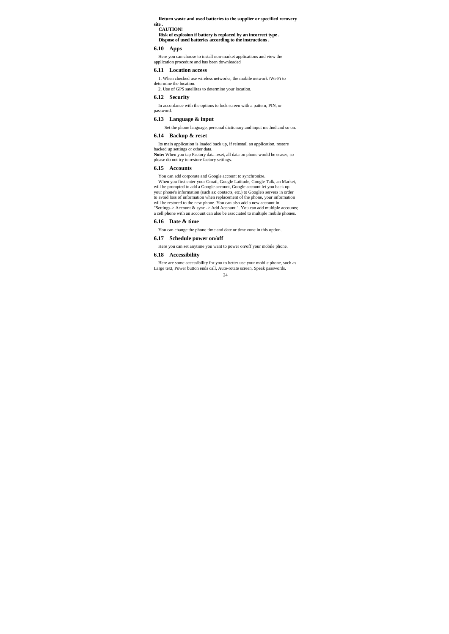#### **Return waste and used batteries to the supplier or specified recovery site .**

# **CAUTION!**

# **Risk of explosion if battery is replaced by an incorrect type . Dispose of used batteries according to the instructions .**

#### **6.10 Apps**

Here you can choose to install non-market applications and view the application procedure and has been downloaded

### **6.11 Location access**

1. When checked use wireless networks, the mobile network /Wi-Fi to

determine the location. 2. Use of GPS satellites to determine your location.

#### **6.12 Security**

In accordance with the options to lock screen with a pattern, PIN, or password.

# **6.13 Language & input**

Set the phone language, personal dictionary and input method and so on.

# **6.14 Backup & reset**

Its main application is loaded back up, if reinstall an application, restore

backed up settings or other data. **Note:** When you tap Factory data reset, all data on phone would be erases, so please do not try to restore factory settings.

# **6.15 Accounts**

You can add corporate and Google account to synchronize.<br>When you first enter your Gmail, Google Latitude, Google Talk, an Market,<br>will be prompted to add a Google account, Google account let you back up<br>your phone's infor to avoid loss of information when replacement of the phone, your information<br>will be restored to the new phone. You can also add a new account in<br>"Settings-> Account & sync -> Add Account ". You can add multiple accounts; a cell phone with an account can also be associated to multiple mobile phones.

#### **6.16 Date & time**

You can change the phone time and date or time zone in this option.

# **6.17 Schedule power on/off**

Here you can set anytime you want to power on/off your mobile phone.

#### **6.18 Accessibility**

Here are some accessibility for you to better use your mobile phone, such as Large text, Power button ends call, Auto-rotate screen, Speak passwords.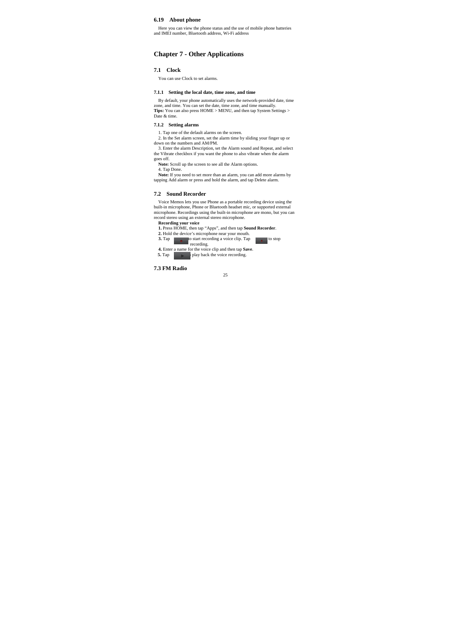# **6.19 About phone**

Here you can view the phone status and the use of mobile phone batteries and IMEI number, Bluetooth address, Wi-Fi address

# **Chapter 7 - Other Applications**

# **7.1 Clock**

You can use Clock to set alarms.

### **7.1.1 Setting the local date, time zone, and time**

By default, your phone automatically uses the network-provided date, time zone, and time. You can set the date, time zone, and time manually.<br>Tips: You can also press HOME > MENU, and then tap System Settings > Date & tim

# **7.1.2 Setting alarms**

1. Tap one of the default alarms on the screen. 2. In the Set alarm screen, set the alarm time by sliding your finger up or

down on the numbers and AM/PM.<br>3. Enter the alarm Description, set the Alarm sound and Repeat, and select<br>the Vibrate checkbox if you want the phone to also vibrate when the alarm goes off.

**Note:** Scroll up the screen to see all the Alarm options. 4. Tap Done.

**Note:** If you need to set more than an alarm, you can add more alarms by tapping Add alarm or press and hold the alarm, and tap Delete alarm.

#### **7.2 Sound Recorder**

Voice Memos lets you use Phone as a portable recording device using the built-in microphone, Phone or Bluetooth headset mic, or supported external microphone. Recordings using the built-in microphone are mono, but you can

**Recording your voice 1.** Press HOME, then tap "Apps", and then tap **Sound Recorder**.

2. Hold the device's microphone near your mouth.<br>
3. Tap  $\overline{a}$  to start recording a voice clip. Tap  $\overline{a}$  to stop<br>
4. Enter a name for the voice clip and then tap **Save**.<br>
5. Tap  $\overline{b}$  blay back the voice recordi

**7.3 FM Radio**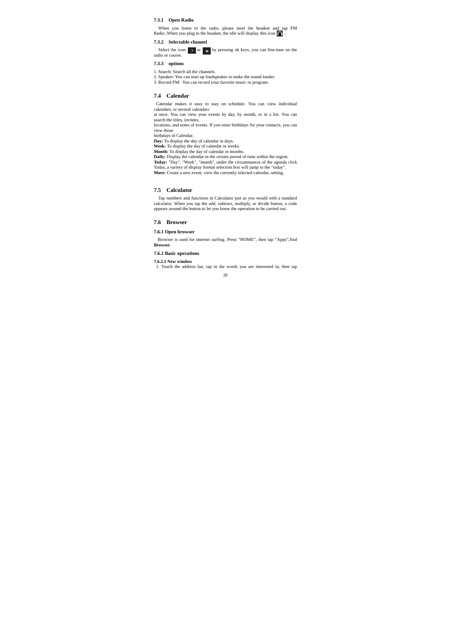# **7.3.1 Open Radio**

When you listen to the radio, please inset the headset and tap FM Radio , When you plug in the headset, the idle will display this icon  $\bigcap$ 

#### **7.3.2 Selectable channel**

Select the icon  $\rightarrow$  or  $\rightarrow$  by pressing ok keys, you can fine-tune on the radio or course.

#### **7.3.3 options**

- 1. Search: Search all the channels.
- 2. Speaker: You can start up loudspeaker to make the sound louder. 3. Record FM: You can record your favorite music or program.

# **7.4 Calendar**

Calendar makes it easy to stay on schedule. You can view individual calendars, or several calendars

at once. You can view your events by day, by month, or in a list. You can search the titles, invitees, locations, and notes of events. If you enter birthdays for your contacts, you can

view those birthdays in Calendar.

**Day:** To display the day of calendar in days. **Week:** To display the day of calendar in weeks.

**Month:** To display the day of calendar in months. **Daily:** Display the calendar in the certain period of time within the region. Today: "Day", "Week", "month", under the circumstances of the agenda click<br>Today, a variety of display format selection box will jump to the "today".<br>More: Create a new event, view the currently selected calendar, setting.

#### **7.5 Calculator**

Tap numbers and functions in Calculator just as you would with a standard calculator. When you tap the add, subtract, multiply, or divide button, a code appears around the button to let you know the operation to be carried out.

### **7.6 Browser**

#### **7.6.1 Open browser**

Browser is used for internet surfing. Press "HOME", then tap "Apps",find **Browser**.

#### **7.6.2 Basic operations**

26 **7.6.2.1 New window**  1. Touch the address bar, tap in the words you are interested in, then tap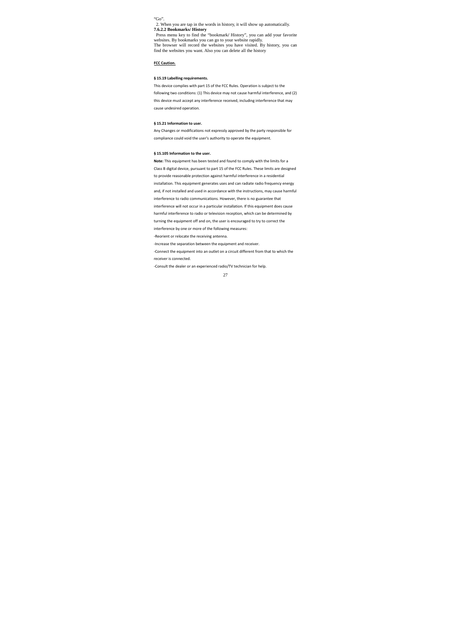"Go".

2. When you are tap in the words in history, it will show up automatically.<br>**7.6.2.2 Bookmarks/ History''**, you can add your favorite<br>**Press menu key to find the "bookmark/ History"**, you can add your favorite<br>websites. By

**FCC Caution.**

# **§ 15.19 Labelling requirements.**

This device complies with part 15 of the FCC Rules. Operation is subject to the following two conditions: (1) This device may not cause harmful interference, and (2) this device must accept any interference received, including interference that may cause undesired operation.

#### **§ 15.21 Information to user.**

Any Changes or modifications not expressly approved by the party responsible for compliance could void the user's authority to operate the equipment.

#### **§ 15.105 Information to the user.**

**Note:** This equipment has been tested and found to comply with the limits for a Class B digital device, pursuant to part 15 of the FCC Rules. These limits are designed to provide reasonable protection against harmful interference in a residential installation. This equipment generates uses and can radiate radio frequency energy and, if not installed and used in accordance with the instructions, may cause harmful interference to radio communications. However, there is no guarantee that interference will not occur in a particular installation. If this equipment does cause

harmful interference to radio or television reception, which can be determined by

turning the equipment off and on, the user is encouraged to try to correct the interference by one or more of the following measures:

‐Reorient or relocate the receiving antenna.

‐Increase the separation between the equipment and receiver.

‐Connect the equipment into an outlet on a circuit different from that to which the receiver is connected.

‐Consult the dealer or an experienced radio/TV technician for help.